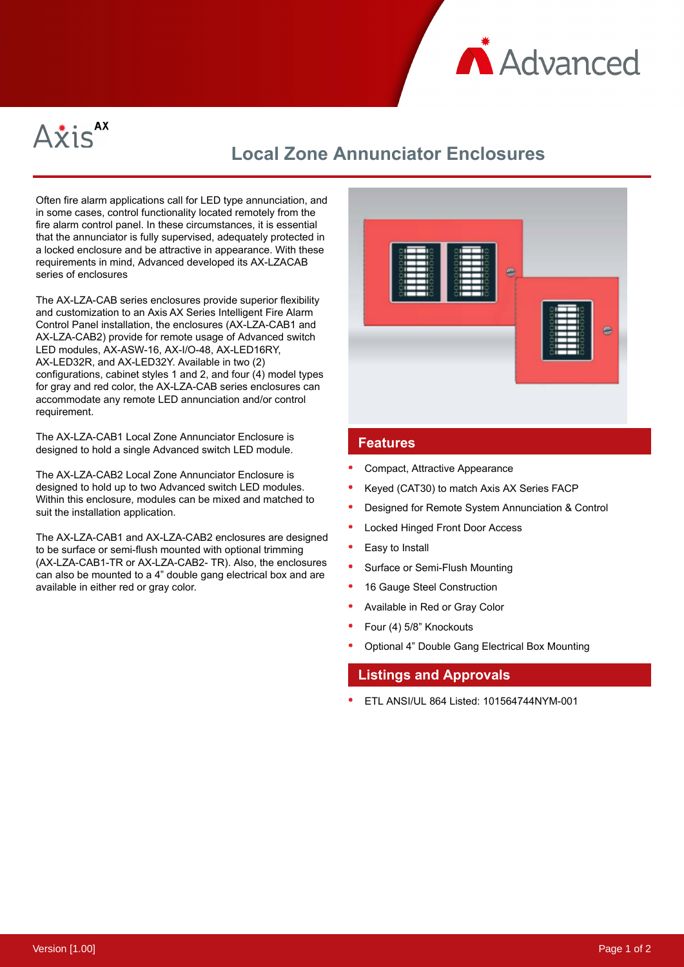



## **Local Zone Annunciator Enclosures**

Often fire alarm applications call for LED type annunciation, and in some cases, control functionality located remotely from the fire alarm control panel. In these circumstances, it is essential that the annunciator is fully supervised, adequately protected in a locked enclosure and be attractive in appearance. With these requirements in mind, Advanced developed its AX-LZACAB series of enclosures

The AX-LZA-CAB series enclosures provide superior flexibility and customization to an Axis AX Series Intelligent Fire Alarm Control Panel installation, the enclosures (AX-LZA-CAB1 and AX-LZA-CAB2) provide for remote usage of Advanced switch LED modules, AX-ASW-16, AX-I/O-48, AX-LED16RY, AX-LED32R, and AX-LED32Y. Available in two (2) configurations, cabinet styles 1 and 2, and four (4) model types for gray and red color, the AX-LZA-CAB series enclosures can accommodate any remote LED annunciation and/or control requirement.

The AX-LZA-CAB1 Local Zone Annunciator Enclosure is designed to hold a single Advanced switch LED module.

The AX-LZA-CAB2 Local Zone Annunciator Enclosure is designed to hold up to two Advanced switch LED modules. Within this enclosure, modules can be mixed and matched to suit the installation application.

The AX-LZA-CAB1 and AX-LZA-CAB2 enclosures are designed to be surface or semi-flush mounted with optional trimming (AX-LZA-CAB1-TR or AX-LZA-CAB2- TR). Also, the enclosures can also be mounted to a 4" double gang electrical box and are available in either red or gray color.



## **Features**

- Compact, Attractive Appearance
- Keyed (CAT30) to match Axis AX Series FACP
- Designed for Remote System Annunciation & Control
- Locked Hinged Front Door Access
- Easy to Install
- Surface or Semi-Flush Mounting
- 16 Gauge Steel Construction
- Available in Red or Gray Color
- Four (4) 5/8" Knockouts
- Optional 4" Double Gang Electrical Box Mounting

## **Listings and Approvals**

ETL ANSI/UL 864 Listed: 101564744NYM-001